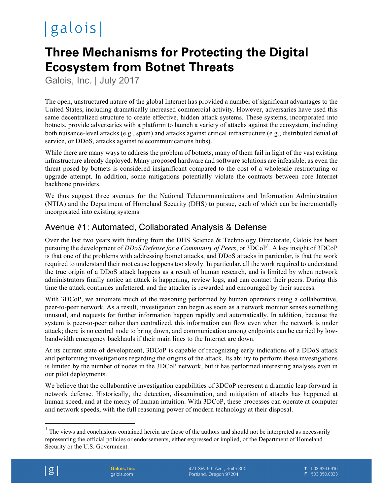# |galois|

## **Three Mechanisms for Protecting the Digital Ecosystem from Botnet Threats**

Galois, Inc. | July 2017

The open, unstructured nature of the global Internet has provided a number of significant advantages to the United States, including dramatically increased commercial activity. However, adversaries have used this same decentralized structure to create effective, hidden attack systems. These systems, incorporated into botnets, provide adversaries with a platform to launch a variety of attacks against the ecosystem, including both nuisance-level attacks (e.g., spam) and attacks against critical infrastructure (e.g., distributed denial of service, or DDoS, attacks against telecommunications hubs).

While there are many ways to address the problem of botnets, many of them fail in light of the vast existing infrastructure already deployed. Many proposed hardware and software solutions are infeasible, as even the threat posed by botnets is considered insignificant compared to the cost of a wholesale restructuring or upgrade attempt. In addition, some mitigations potentially violate the contracts between core Internet backbone providers.

We thus suggest three avenues for the National Telecommunications and Information Administration (NTIA) and the Department of Homeland Security (DHS) to pursue, each of which can be incrementally incorporated into existing systems.

#### Avenue #1: Automated, Collaborated Analysis & Defense

Over the last two years with funding from the DHS Science & Technology Directorate, Galois has been pursuing the development of *DDoS Defense for a Community of Peers*, or  $3DCoP<sup>1</sup>$ . A key insight of  $3DCoP$ is that one of the problems with addressing botnet attacks, and DDoS attacks in particular, is that the work required to understand their root cause happens too slowly. In particular, all the work required to understand the true origin of a DDoS attack happens as a result of human research, and is limited by when network administrators finally notice an attack is happening, review logs, and can contact their peers. During this time the attack continues unfettered, and the attacker is rewarded and encouraged by their success.

With 3DCoP, we automate much of the reasoning performed by human operators using a collaborative, peer-to-peer network. As a result, investigation can begin as soon as a network monitor senses something unusual, and requests for further information happen rapidly and automatically. In addition, because the system is peer-to-peer rather than centralized, this information can flow even when the network is under attack; there is no central node to bring down, and communication among endpoints can be carried by lowbandwidth emergency backhauls if their main lines to the Internet are down.

At its current state of development, 3DCoP is capable of recognizing early indications of a DDoS attack and performing investigations regarding the origins of the attack. Its ability to perform these investigations is limited by the number of nodes in the 3DCoP network, but it has performed interesting analyses even in our pilot deployments.

We believe that the collaborative investigation capabilities of 3DCoP represent a dramatic leap forward in network defense. Historically, the detection, dissemination, and mitigation of attacks has happened at human speed, and at the mercy of human intuition. With 3DCoP, these processes can operate at computer and network speeds, with the full reasoning power of modern technology at their disposal.

 $1$  The views and conclusions contained herein are those of the authors and should not be interpreted as necessarily representing the official policies or endorsements, either expressed or implied, of the Department of Homeland Security or the U.S. Government.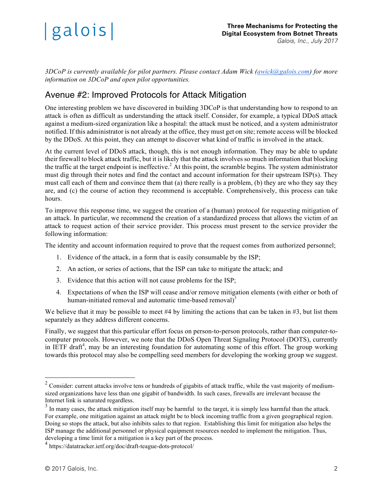

*3DCoP is currently available for pilot partners. Please contact Adam Wick (awick@galois.com) for more information on 3DCoP and open pilot opportunities.*

#### Avenue #2: Improved Protocols for Attack Mitigation

One interesting problem we have discovered in building 3DCoP is that understanding how to respond to an attack is often as difficult as understanding the attack itself. Consider, for example, a typical DDoS attack against a medium-sized organization like a hospital: the attack must be noticed, and a system administrator notified. If this administrator is not already at the office, they must get on site; remote access will be blocked by the DDoS. At this point, they can attempt to discover what kind of traffic is involved in the attack.

At the current level of DDoS attack, though, this is not enough information. They may be able to update their firewall to block attack traffic, but it is likely that the attack involves so much information that blocking the traffic at the target endpoint is ineffective.<sup>2</sup> At this point, the scramble begins. The system administrator must dig through their notes and find the contact and account information for their upstream ISP(s). They must call each of them and convince them that (a) there really is a problem, (b) they are who they say they are, and (c) the course of action they recommend is acceptable. Comprehensively, this process can take hours.

To improve this response time, we suggest the creation of a (human) protocol for requesting mitigation of an attack. In particular, we recommend the creation of a standardized process that allows the victim of an attack to request action of their service provider. This process must present to the service provider the following information:

The identity and account information required to prove that the request comes from authorized personnel;

- 1. Evidence of the attack, in a form that is easily consumable by the ISP;
- 2. An action, or series of actions, that the ISP can take to mitigate the attack; and
- 3. Evidence that this action will not cause problems for the ISP;
- 4. Expectations of when the ISP will cease and/or remove mitigation elements (with either or both of human-initiated removal and automatic time-based removal) $3$

We believe that it may be possible to meet #4 by limiting the actions that can be taken in #3, but list them separately as they address different concerns.

Finally, we suggest that this particular effort focus on person-to-person protocols, rather than computer-tocomputer protocols. However, we note that the DDoS Open Threat Signaling Protocol (DOTS), currently in IETF draft<sup>4</sup>, may be an interesting foundation for automating some of this effort. The group working towards this protocol may also be compelling seed members for developing the working group we suggest.

 $2$  Consider: current attacks involve tens or hundreds of gigabits of attack traffic, while the vast majority of mediumsized organizations have less than one gigabit of bandwidth. In such cases, firewalls are irrelevant because the Internet link is saturated regardless.

 $3$  In many cases, the attack mitigation itself may be harmful to the target, it is simply less harmful than the attack. For example, one mitigation against an attack might be to block incoming traffic from a given geographical region. Doing so stops the attack, but also inhibits sales to that region. Establishing this limit for mitigation also helps the ISP manage the additional personnel or physical equipment resources needed to implement the mitigation. Thus, developing a time limit for a mitigation is a key part of the process.

<sup>4</sup> https://datatracker.ietf.org/doc/draft-teague-dots-protocol/